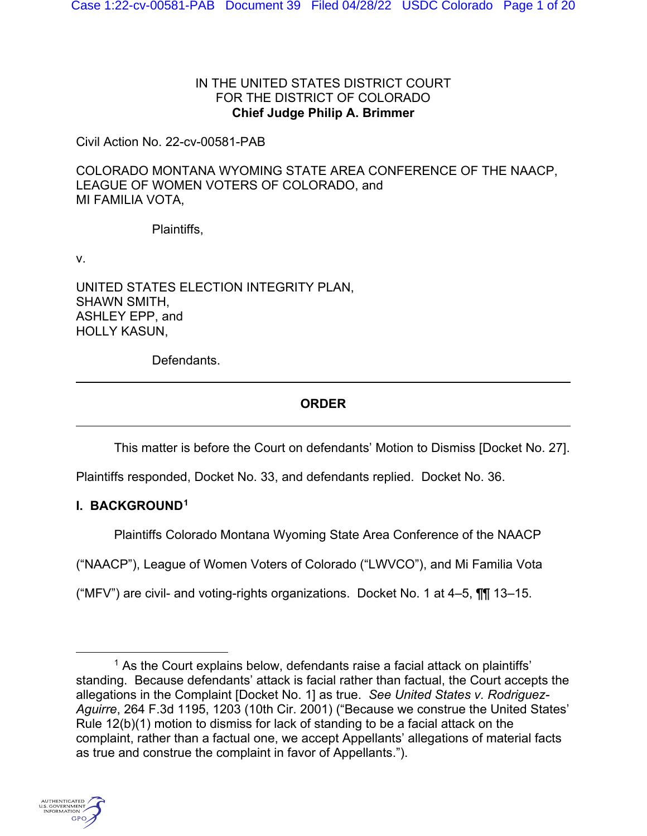## IN THE UNITED STATES DISTRICT COURT FOR THE DISTRICT OF COLORADO **Chief Judge Philip A. Brimmer**

Civil Action No. 22-cv-00581-PAB

COLORADO MONTANA WYOMING STATE AREA CONFERENCE OF THE NAACP, LEAGUE OF WOMEN VOTERS OF COLORADO, and MI FAMILIA VOTA,

Plaintiffs,

v.

UNITED STATES ELECTION INTEGRITY PLAN, SHAWN SMITH, ASHLEY EPP, and HOLLY KASUN,

Defendants.

# **ORDER**

This matter is before the Court on defendants' Motion to Dismiss [Docket No. 27].

Plaintiffs responded, Docket No. 33, and defendants replied. Docket No. 36.

# **I. BACKGROUND[1](#page-0-0)**

Plaintiffs Colorado Montana Wyoming State Area Conference of the NAACP

("NAACP"), League of Women Voters of Colorado ("LWVCO"), and Mi Familia Vota

("MFV") are civil- and voting-rights organizations. Docket No. 1 at  $4-5$ ,  $\P\P$  13-15.

<span id="page-0-0"></span><sup>&</sup>lt;sup>1</sup> As the Court explains below, defendants raise a facial attack on plaintiffs' standing. Because defendants' attack is facial rather than factual, the Court accepts the allegations in the Complaint [Docket No. 1] as true. *See United States v. Rodriguez-Aguirre*, 264 F.3d 1195, 1203 (10th Cir. 2001) ("Because we construe the United States' Rule 12(b)(1) motion to dismiss for lack of standing to be a facial attack on the complaint, rather than a factual one, we accept Appellants' allegations of material facts as true and construe the complaint in favor of Appellants.").

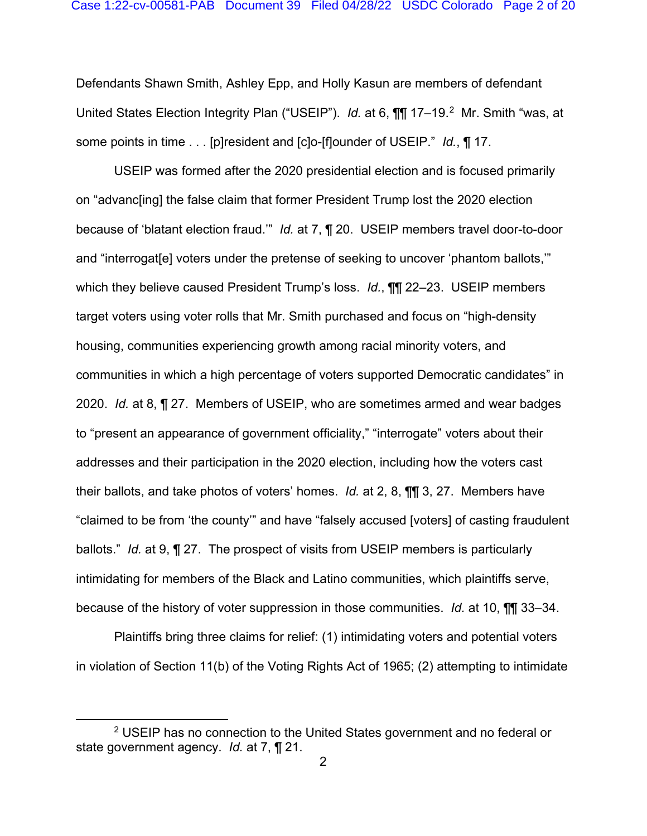Defendants Shawn Smith, Ashley Epp, and Holly Kasun are members of defendant United States Election Integrity Plan ("USEIP"). *Id.* at 6, **[1]** 17–19.<sup>2</sup> Mr. Smith "was, at some points in time . . . [p]resident and [c]o-[f]ounder of USEIP." *Id.*, ¶ 17.

USEIP was formed after the 2020 presidential election and is focused primarily on "advanc[ing] the false claim that former President Trump lost the 2020 election because of 'blatant election fraud.'" *Id.* at 7, ¶ 20. USEIP members travel door-to-door and "interrogat[e] voters under the pretense of seeking to uncover 'phantom ballots,'" which they believe caused President Trump's loss. *Id.*, ¶¶ 22–23. USEIP members target voters using voter rolls that Mr. Smith purchased and focus on "high-density housing, communities experiencing growth among racial minority voters, and communities in which a high percentage of voters supported Democratic candidates" in 2020. *Id.* at 8, ¶ 27. Members of USEIP, who are sometimes armed and wear badges to "present an appearance of government officiality," "interrogate" voters about their addresses and their participation in the 2020 election, including how the voters cast their ballots, and take photos of voters' homes. *Id.* at 2, 8, ¶¶ 3, 27.Members have "claimed to be from 'the county'" and have "falsely accused [voters] of casting fraudulent ballots." *Id.* at 9, ¶ 27.The prospect of visits from USEIP members is particularly intimidating for members of the Black and Latino communities, which plaintiffs serve, because of the history of voter suppression in those communities. *Id.* at 10, ¶¶ 33–34.

Plaintiffs bring three claims for relief: (1) intimidating voters and potential voters in violation of Section 11(b) of the Voting Rights Act of 1965; (2) attempting to intimidate

<span id="page-1-0"></span><sup>2</sup> USEIP has no connection to the United States government and no federal or state government agency. *Id.* at 7, ¶ 21.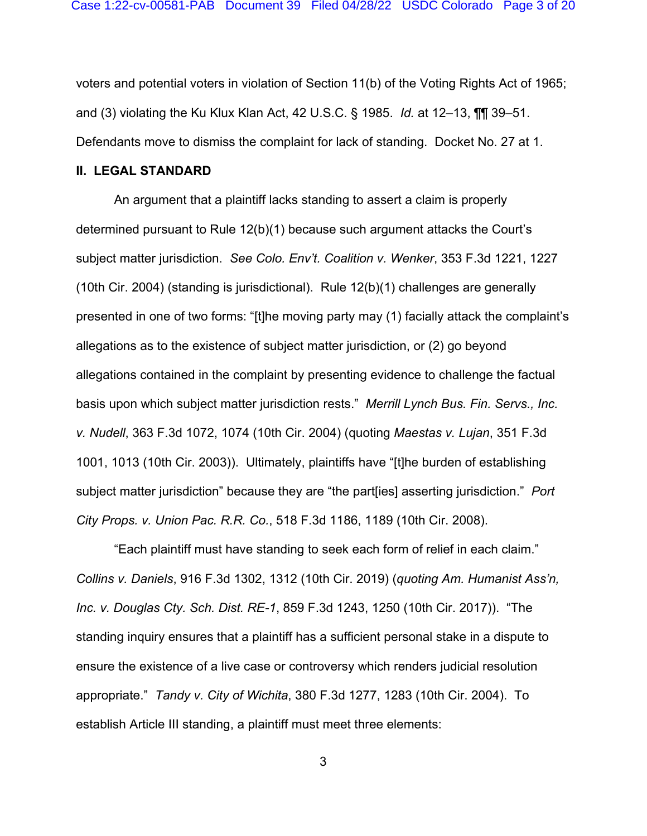voters and potential voters in violation of Section 11(b) of the Voting Rights Act of 1965; and (3) violating the Ku Klux Klan Act, 42 U.S.C. § 1985. *Id.* at 12–13, ¶¶ 39–51. Defendants move to dismiss the complaint for lack of standing. Docket No. 27 at 1.

### **II. LEGAL STANDARD**

An argument that a plaintiff lacks standing to assert a claim is properly determined pursuant to Rule 12(b)(1) because such argument attacks the Court's subject matter jurisdiction. *See Colo. Env't. Coalition v. Wenker*, 353 F.3d 1221, 1227 (10th Cir. 2004) (standing is jurisdictional). Rule 12(b)(1) challenges are generally presented in one of two forms: "[t]he moving party may (1) facially attack the complaint's allegations as to the existence of subject matter jurisdiction, or (2) go beyond allegations contained in the complaint by presenting evidence to challenge the factual basis upon which subject matter jurisdiction rests." *Merrill Lynch Bus. Fin. Servs., Inc. v. Nudell*, 363 F.3d 1072, 1074 (10th Cir. 2004) (quoting *Maestas v. Lujan*, 351 F.3d 1001, 1013 (10th Cir. 2003)). Ultimately, plaintiffs have "[t]he burden of establishing subject matter jurisdiction" because they are "the part[ies] asserting jurisdiction." *Port City Props. v. Union Pac. R.R. Co.*, 518 F.3d 1186, 1189 (10th Cir. 2008).

"Each plaintiff must have standing to seek each form of relief in each claim." *Collins v. Daniels*, 916 F.3d 1302, 1312 (10th Cir. 2019) (*quoting Am. Humanist Ass'n, Inc. v. Douglas Cty. Sch. Dist. RE-1*, 859 F.3d 1243, 1250 (10th Cir. 2017)). "The standing inquiry ensures that a plaintiff has a sufficient personal stake in a dispute to ensure the existence of a live case or controversy which renders judicial resolution appropriate." *Tandy v. City of Wichita*, 380 F.3d 1277, 1283 (10th Cir. 2004). To establish Article III standing, a plaintiff must meet three elements: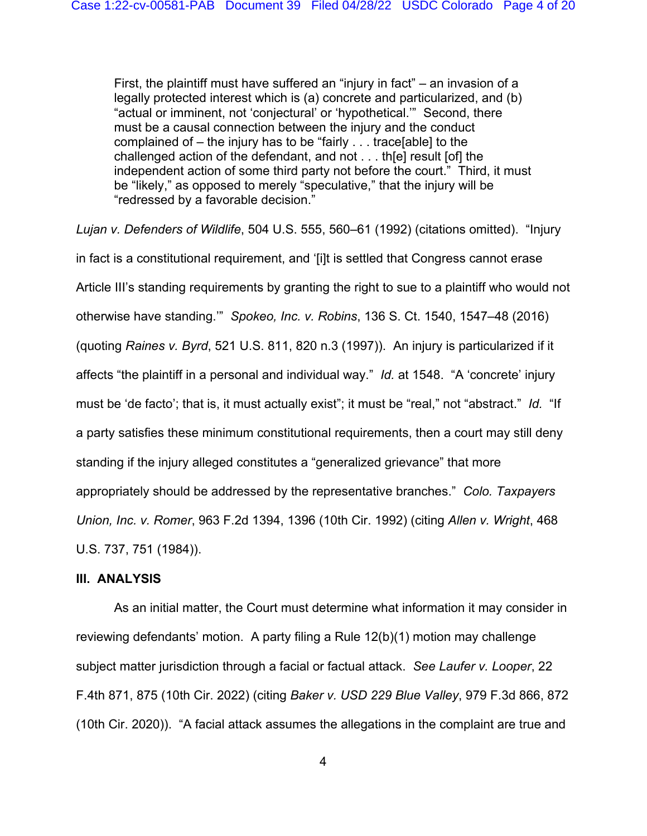First, the plaintiff must have suffered an "injury in fact" – an invasion of a legally protected interest which is (a) concrete and particularized, and (b) "actual or imminent, not 'conjectural' or 'hypothetical.'" Second, there must be a causal connection between the injury and the conduct complained of – the injury has to be "fairly . . . trace[able] to the challenged action of the defendant, and not . . . th[e] result [of] the independent action of some third party not before the court." Third, it must be "likely," as opposed to merely "speculative," that the injury will be "redressed by a favorable decision."

*Lujan v. Defenders of Wildlife*, 504 U.S. 555, 560–61 (1992) (citations omitted). "Injury in fact is a constitutional requirement, and '[i]t is settled that Congress cannot erase Article III's standing requirements by granting the right to sue to a plaintiff who would not otherwise have standing.'" *Spokeo, Inc. v. Robins*, 136 S. Ct. 1540, 1547–48 (2016) (quoting *Raines v. Byrd*, 521 U.S. 811, 820 n.3 (1997)). An injury is particularized if it affects "the plaintiff in a personal and individual way." *Id.* at 1548. "A 'concrete' injury must be 'de facto'; that is, it must actually exist"; it must be "real," not "abstract." *Id.* "If a party satisfies these minimum constitutional requirements, then a court may still deny standing if the injury alleged constitutes a "generalized grievance" that more appropriately should be addressed by the representative branches." *Colo. Taxpayers Union, Inc. v. Romer*, 963 F.2d 1394, 1396 (10th Cir. 1992) (citing *Allen v. Wright*, 468 U.S. 737, 751 (1984)).

## **III. ANALYSIS**

As an initial matter, the Court must determine what information it may consider in reviewing defendants' motion. A party filing a Rule 12(b)(1) motion may challenge subject matter jurisdiction through a facial or factual attack. *See Laufer v. Looper*, 22 F.4th 871, 875 (10th Cir. 2022) (citing *Baker v. USD 229 Blue Valley*, 979 F.3d 866, 872 (10th Cir. 2020)). "A facial attack assumes the allegations in the complaint are true and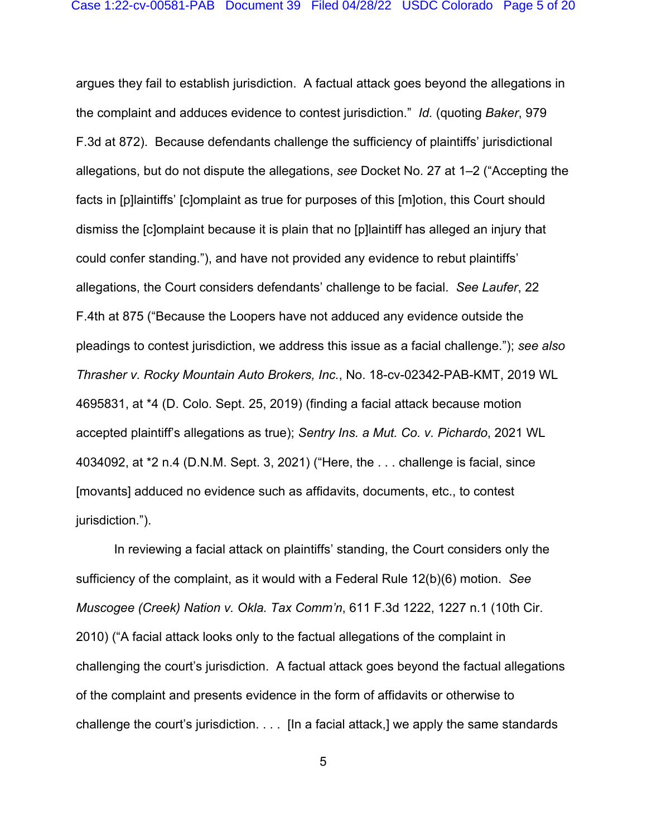argues they fail to establish jurisdiction. A factual attack goes beyond the allegations in the complaint and adduces evidence to contest jurisdiction." *Id.* (quoting *Baker*, 979 F.3d at 872). Because defendants challenge the sufficiency of plaintiffs' jurisdictional allegations, but do not dispute the allegations, *see* Docket No. 27 at 1–2 ("Accepting the facts in [p]laintiffs' [c]omplaint as true for purposes of this [m]otion, this Court should dismiss the [c]omplaint because it is plain that no [p]laintiff has alleged an injury that could confer standing."), and have not provided any evidence to rebut plaintiffs' allegations, the Court considers defendants' challenge to be facial. *See Laufer*, 22 F.4th at 875 ("Because the Loopers have not adduced any evidence outside the pleadings to contest jurisdiction, we address this issue as a facial challenge."); *see also Thrasher v. Rocky Mountain Auto Brokers, Inc.*, No. 18-cv-02342-PAB-KMT, 2019 WL 4695831, at \*4 (D. Colo. Sept. 25, 2019) (finding a facial attack because motion accepted plaintiff's allegations as true); *Sentry Ins. a Mut. Co. v. Pichardo*, 2021 WL 4034092, at \*2 n.4 (D.N.M. Sept. 3, 2021) ("Here, the . . . challenge is facial, since [movants] adduced no evidence such as affidavits, documents, etc., to contest jurisdiction.").

In reviewing a facial attack on plaintiffs' standing, the Court considers only the sufficiency of the complaint, as it would with a Federal Rule 12(b)(6) motion. *See Muscogee (Creek) Nation v. Okla. Tax Comm'n*, 611 F.3d 1222, 1227 n.1 (10th Cir. 2010) ("A facial attack looks only to the factual allegations of the complaint in challenging the court's jurisdiction. A factual attack goes beyond the factual allegations of the complaint and presents evidence in the form of affidavits or otherwise to challenge the court's jurisdiction. . . . [In a facial attack,] we apply the same standards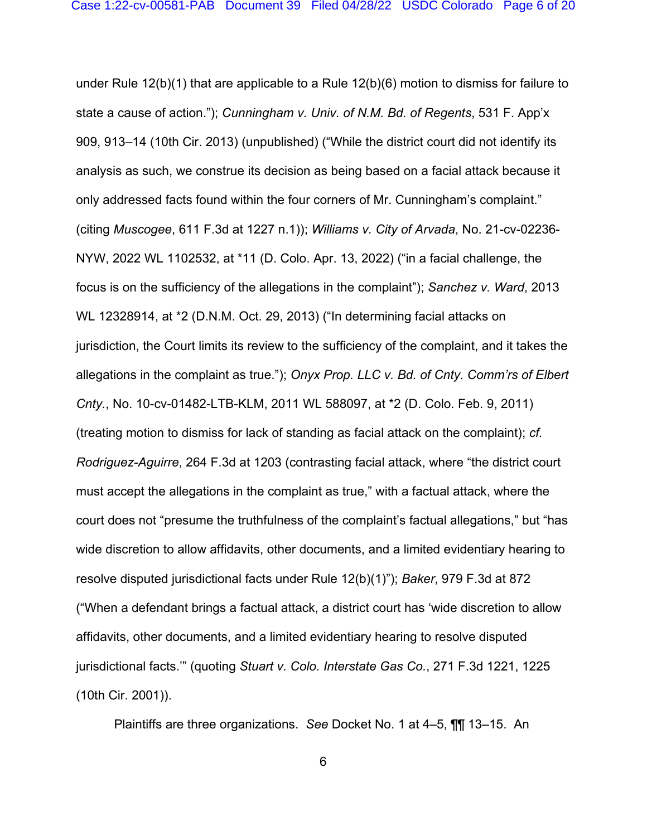under Rule 12(b)(1) that are applicable to a Rule 12(b)(6) motion to dismiss for failure to state a cause of action."); *Cunningham v. Univ. of N.M. Bd. of Regents*, 531 F. App'x 909, 913–14 (10th Cir. 2013) (unpublished) ("While the district court did not identify its analysis as such, we construe its decision as being based on a facial attack because it only addressed facts found within the four corners of Mr. Cunningham's complaint." (citing *Muscogee*, 611 F.3d at 1227 n.1)); *Williams v. City of Arvada*, No. 21-cv-02236- NYW, 2022 WL 1102532, at \*11 (D. Colo. Apr. 13, 2022) ("in a facial challenge, the focus is on the sufficiency of the allegations in the complaint"); *Sanchez v. Ward*, 2013 WL 12328914, at \*2 (D.N.M. Oct. 29, 2013) ("In determining facial attacks on jurisdiction, the Court limits its review to the sufficiency of the complaint, and it takes the allegations in the complaint as true."); *Onyx Prop. LLC v. Bd. of Cnty. Comm'rs of Elbert Cnty.*, No. 10-cv-01482-LTB-KLM, 2011 WL 588097, at \*2 (D. Colo. Feb. 9, 2011) (treating motion to dismiss for lack of standing as facial attack on the complaint); *cf. Rodriguez-Aguirre*, 264 F.3d at 1203 (contrasting facial attack, where "the district court must accept the allegations in the complaint as true," with a factual attack, where the court does not "presume the truthfulness of the complaint's factual allegations," but "has wide discretion to allow affidavits, other documents, and a limited evidentiary hearing to resolve disputed jurisdictional facts under Rule 12(b)(1)"); *Baker*, 979 F.3d at 872 ("When a defendant brings a factual attack, a district court has 'wide discretion to allow affidavits, other documents, and a limited evidentiary hearing to resolve disputed jurisdictional facts.'" (quoting *Stuart v. Colo. Interstate Gas Co.*, 271 F.3d 1221, 1225 (10th Cir. 2001)).

Plaintiffs are three organizations. *See* Docket No. 1 at 4–5, ¶¶ 13–15. An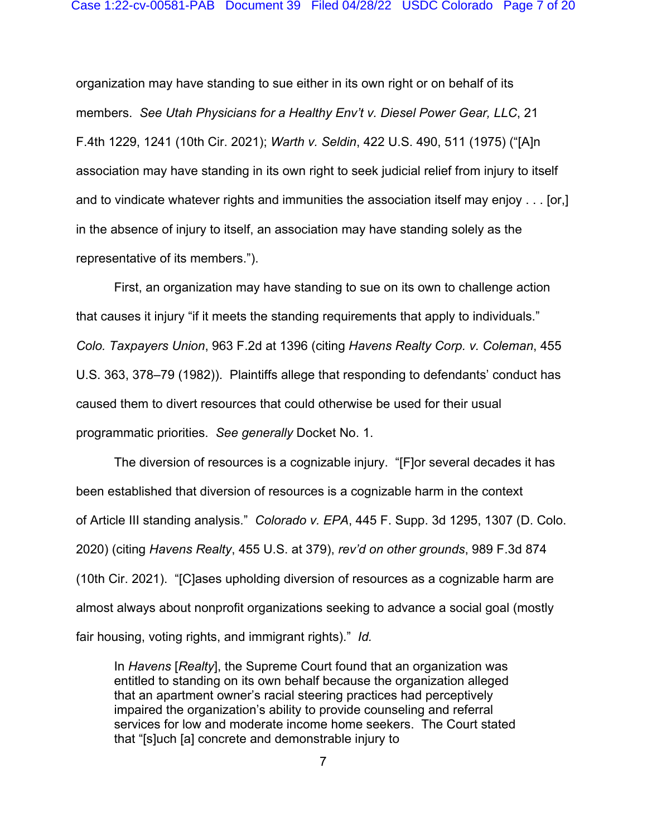#### Case 1:22-cv-00581-PAB Document 39 Filed 04/28/22 USDC Colorado Page 7 of 20

organization may have standing to sue either in its own right or on behalf of its members. *See Utah Physicians for a Healthy Env't v. Diesel Power Gear, LLC*, 21 F.4th 1229, 1241 (10th Cir. 2021); *Warth v. Seldin*, 422 U.S. 490, 511 (1975) ("[A]n association may have standing in its own right to seek judicial relief from injury to itself and to vindicate whatever rights and immunities the association itself may enjoy . . . [or,] in the absence of injury to itself, an association may have standing solely as the representative of its members.").

First, an organization may have standing to sue on its own to challenge action that causes it injury "if it meets the standing requirements that apply to individuals." *Colo. Taxpayers Union*, 963 F.2d at 1396 (citing *Havens Realty Corp. v. Coleman*, 455 U.S. 363, 378–79 (1982)). Plaintiffs allege that responding to defendants' conduct has caused them to divert resources that could otherwise be used for their usual programmatic priorities. *See generally* Docket No. 1.

The diversion of resources is a cognizable injury. "[F]or several decades it has been established that diversion of resources is a cognizable harm in the context of Article III standing analysis." *Colorado v. EPA*, 445 F. Supp. 3d 1295, 1307 (D. Colo. 2020) (citing *Havens Realty*, 455 U.S. at 379), *rev'd on other grounds*, 989 F.3d 874 (10th Cir. 2021). "[C]ases upholding diversion of resources as a cognizable harm are almost always about nonprofit organizations seeking to advance a social goal (mostly fair housing, voting rights, and immigrant rights)." *Id.* 

In *Havens* [*Realty*], the Supreme Court found that an organization was entitled to standing on its own behalf because the organization alleged that an apartment owner's racial steering practices had perceptively impaired the organization's ability to provide counseling and referral services for low and moderate income home seekers. The Court stated that "[s]uch [a] concrete and demonstrable injury to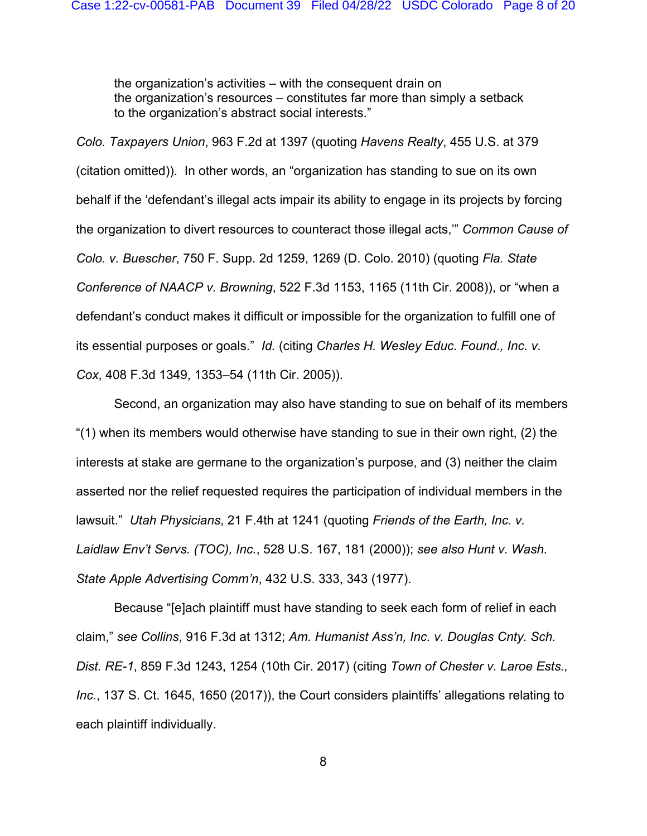the organization's activities – with the consequent drain on the organization's resources – constitutes far more than simply a setback to the organization's abstract social interests."

*Colo. Taxpayers Union*, 963 F.2d at 1397 (quoting *Havens Realty*, 455 U.S. at 379 (citation omitted)). In other words, an "organization has standing to sue on its own behalf if the 'defendant's illegal acts impair its ability to engage in its projects by forcing the organization to divert resources to counteract those illegal acts,'" *Common Cause of Colo. v. Buescher*, 750 F. Supp. 2d 1259, 1269 (D. Colo. 2010) (quoting *Fla. State Conference of NAACP v. Browning*, 522 F.3d 1153, 1165 (11th Cir. 2008)), or "when a defendant's conduct makes it difficult or impossible for the organization to fulfill one of its essential purposes or goals." *Id.* (citing *Charles H. Wesley Educ. Found., Inc. v. Cox*, 408 F.3d 1349, 1353–54 (11th Cir. 2005)).

Second, an organization may also have standing to sue on behalf of its members "(1) when its members would otherwise have standing to sue in their own right, (2) the interests at stake are germane to the organization's purpose, and (3) neither the claim asserted nor the relief requested requires the participation of individual members in the lawsuit." *Utah Physicians*, 21 F.4th at 1241 (quoting *Friends of the Earth, Inc. v. Laidlaw Env't Servs. (TOC), Inc.*, 528 U.S. 167, 181 (2000)); *see also Hunt v. Wash. State Apple Advertising Comm'n*, 432 U.S. 333, 343 (1977).

Because "[e]ach plaintiff must have standing to seek each form of relief in each claim," *see Collins*, 916 F.3d at 1312; *Am. Humanist Ass'n, Inc. v. Douglas Cnty. Sch. Dist. RE-1*, 859 F.3d 1243, 1254 (10th Cir. 2017) (citing *Town of Chester v. Laroe Ests., Inc.*, 137 S. Ct. 1645, 1650 (2017)), the Court considers plaintiffs' allegations relating to each plaintiff individually.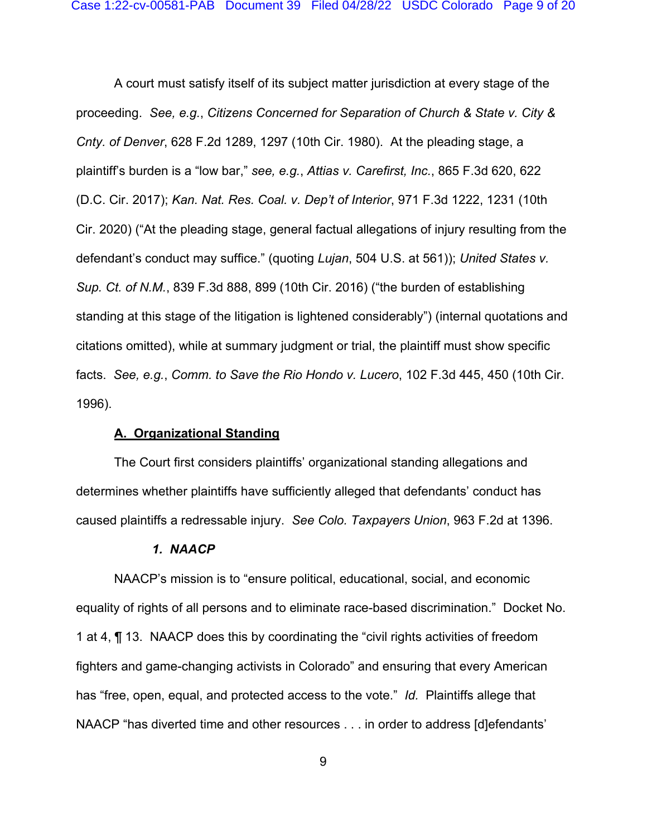A court must satisfy itself of its subject matter jurisdiction at every stage of the proceeding. *See, e.g.*, *Citizens Concerned for Separation of Church & State v. City & Cnty. of Denver*, 628 F.2d 1289, 1297 (10th Cir. 1980). At the pleading stage, a plaintiff's burden is a "low bar," *see, e.g.*, *Attias v. Carefirst, Inc.*, 865 F.3d 620, 622 (D.C. Cir. 2017); *Kan. Nat. Res. Coal. v. Dep't of Interior*, 971 F.3d 1222, 1231 (10th Cir. 2020) ("At the pleading stage, general factual allegations of injury resulting from the defendant's conduct may suffice." (quoting *Lujan*, 504 U.S. at 561)); *United States v. Sup. Ct. of N.M.*, 839 F.3d 888, 899 (10th Cir. 2016) ("the burden of establishing standing at this stage of the litigation is lightened considerably") (internal quotations and citations omitted), while at summary judgment or trial, the plaintiff must show specific facts. *See, e.g.*, *Comm. to Save the Rio Hondo v. Lucero*, 102 F.3d 445, 450 (10th Cir. 1996).

## **A. Organizational Standing**

The Court first considers plaintiffs' organizational standing allegations and determines whether plaintiffs have sufficiently alleged that defendants' conduct has caused plaintiffs a redressable injury. *See Colo. Taxpayers Union*, 963 F.2d at 1396.

#### *1. NAACP*

NAACP's mission is to "ensure political, educational, social, and economic equality of rights of all persons and to eliminate race-based discrimination." Docket No. 1 at 4, ¶ 13. NAACP does this by coordinating the "civil rights activities of freedom fighters and game-changing activists in Colorado" and ensuring that every American has "free, open, equal, and protected access to the vote." *Id.* Plaintiffs allege that NAACP "has diverted time and other resources . . . in order to address [d]efendants'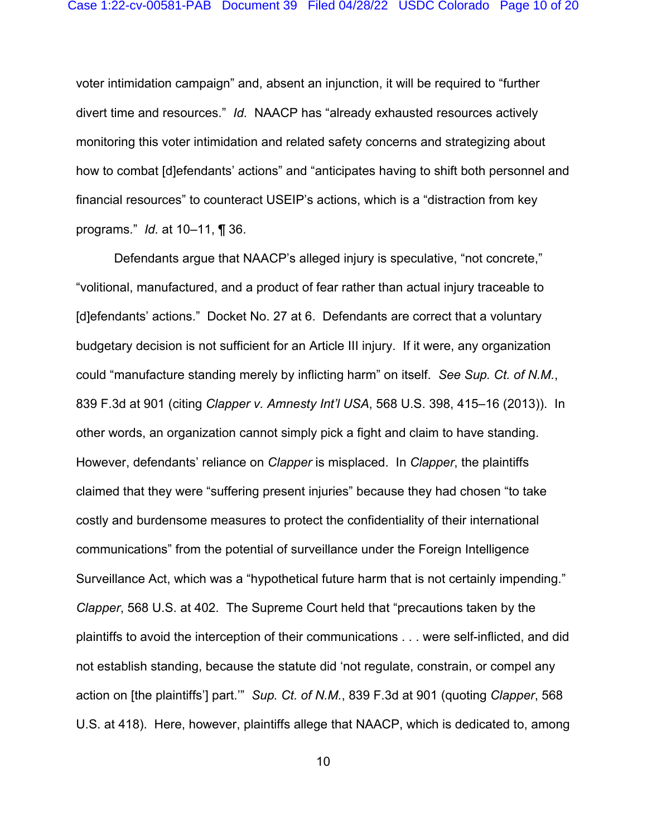voter intimidation campaign" and, absent an injunction, it will be required to "further divert time and resources." *Id.* NAACP has "already exhausted resources actively monitoring this voter intimidation and related safety concerns and strategizing about how to combat [d]efendants' actions" and "anticipates having to shift both personnel and financial resources" to counteract USEIP's actions, which is a "distraction from key programs." *Id.* at 10–11, ¶ 36.

Defendants argue that NAACP's alleged injury is speculative, "not concrete," "volitional, manufactured, and a product of fear rather than actual injury traceable to [d]efendants' actions." Docket No. 27 at 6. Defendants are correct that a voluntary budgetary decision is not sufficient for an Article III injury. If it were, any organization could "manufacture standing merely by inflicting harm" on itself. *See Sup. Ct. of N.M.*, 839 F.3d at 901 (citing *Clapper v. Amnesty Int'l USA*, 568 U.S. 398, 415–16 (2013)). In other words, an organization cannot simply pick a fight and claim to have standing. However, defendants' reliance on *Clapper* is misplaced. In *Clapper*, the plaintiffs claimed that they were "suffering present injuries" because they had chosen "to take costly and burdensome measures to protect the confidentiality of their international communications" from the potential of surveillance under the Foreign Intelligence Surveillance Act, which was a "hypothetical future harm that is not certainly impending." *Clapper*, 568 U.S. at 402. The Supreme Court held that "precautions taken by the plaintiffs to avoid the interception of their communications . . . were self-inflicted, and did not establish standing, because the statute did 'not regulate, constrain, or compel any action on [the plaintiffs'] part.'" *Sup. Ct. of N.M.*, 839 F.3d at 901 (quoting *Clapper*, 568 U.S. at 418). Here, however, plaintiffs allege that NAACP, which is dedicated to, among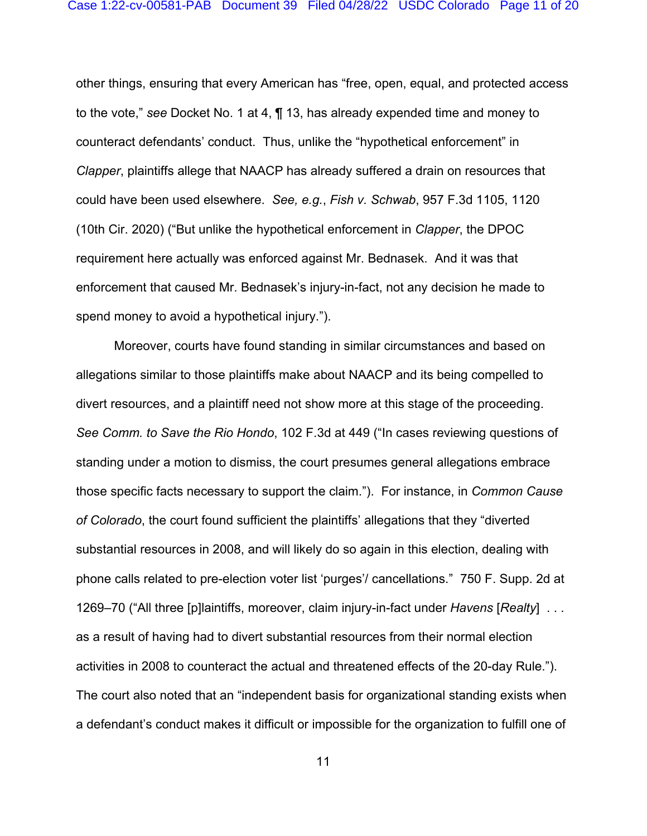other things, ensuring that every American has "free, open, equal, and protected access to the vote," *see* Docket No. 1 at 4, ¶ 13, has already expended time and money to counteract defendants' conduct. Thus, unlike the "hypothetical enforcement" in *Clapper*, plaintiffs allege that NAACP has already suffered a drain on resources that could have been used elsewhere. *See, e.g.*, *Fish v. Schwab*, 957 F.3d 1105, 1120 (10th Cir. 2020) ("But unlike the hypothetical enforcement in *Clapper*, the DPOC requirement here actually was enforced against Mr. Bednasek. And it was that enforcement that caused Mr. Bednasek's injury-in-fact, not any decision he made to spend money to avoid a hypothetical injury.").

Moreover, courts have found standing in similar circumstances and based on allegations similar to those plaintiffs make about NAACP and its being compelled to divert resources, and a plaintiff need not show more at this stage of the proceeding. *See Comm. to Save the Rio Hondo*, 102 F.3d at 449 ("In cases reviewing questions of standing under a motion to dismiss, the court presumes general allegations embrace those specific facts necessary to support the claim."). For instance, in *Common Cause of Colorado*, the court found sufficient the plaintiffs' allegations that they "diverted substantial resources in 2008, and will likely do so again in this election, dealing with phone calls related to pre-election voter list 'purges'/ cancellations." 750 F. Supp. 2d at 1269–70 ("All three [p]laintiffs, moreover, claim injury-in-fact under *Havens* [*Realty*] . . . as a result of having had to divert substantial resources from their normal election activities in 2008 to counteract the actual and threatened effects of the 20-day Rule."). The court also noted that an "independent basis for organizational standing exists when a defendant's conduct makes it difficult or impossible for the organization to fulfill one of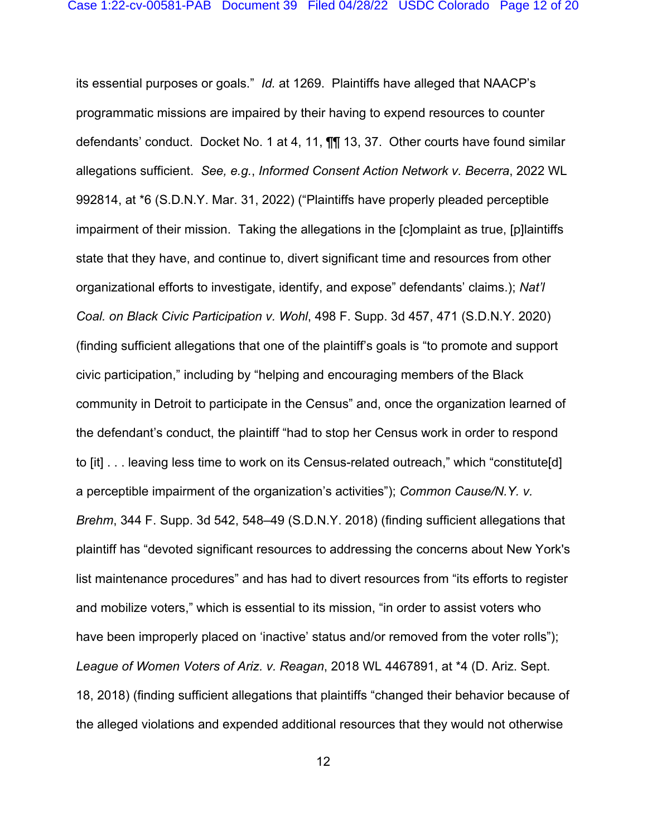its essential purposes or goals." *Id.* at 1269. Plaintiffs have alleged that NAACP's programmatic missions are impaired by their having to expend resources to counter defendants' conduct. Docket No. 1 at 4, 11, ¶¶ 13, 37. Other courts have found similar allegations sufficient. *See, e.g.*, *Informed Consent Action Network v. Becerra*, 2022 WL 992814, at \*6 (S.D.N.Y. Mar. 31, 2022) ("Plaintiffs have properly pleaded perceptible impairment of their mission. Taking the allegations in the [c]omplaint as true, [p]laintiffs state that they have, and continue to, divert significant time and resources from other organizational efforts to investigate, identify, and expose" defendants' claims.); *Nat'l Coal. on Black Civic Participation v. Wohl*, 498 F. Supp. 3d 457, 471 (S.D.N.Y. 2020) (finding sufficient allegations that one of the plaintiff's goals is "to promote and support civic participation," including by "helping and encouraging members of the Black community in Detroit to participate in the Census" and, once the organization learned of the defendant's conduct, the plaintiff "had to stop her Census work in order to respond to [it] . . . leaving less time to work on its Census-related outreach," which "constitute[d] a perceptible impairment of the organization's activities"); *Common Cause/N.Y. v. Brehm*, 344 F. Supp. 3d 542, 548–49 (S.D.N.Y. 2018) (finding sufficient allegations that plaintiff has "devoted significant resources to addressing the concerns about New York's list maintenance procedures" and has had to divert resources from "its efforts to register and mobilize voters," which is essential to its mission, "in order to assist voters who have been improperly placed on 'inactive' status and/or removed from the voter rolls"); *League of Women Voters of Ariz. v. Reagan*, 2018 WL 4467891, at \*4 (D. Ariz. Sept. 18, 2018) (finding sufficient allegations that plaintiffs "changed their behavior because of the alleged violations and expended additional resources that they would not otherwise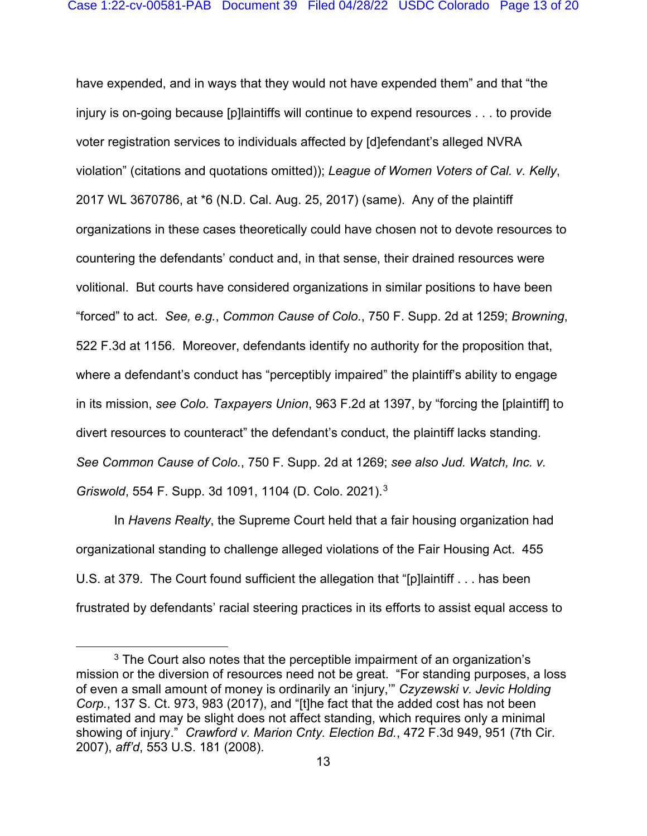have expended, and in ways that they would not have expended them" and that "the injury is on-going because [p]laintiffs will continue to expend resources . . . to provide voter registration services to individuals affected by [d]efendant's alleged NVRA violation" (citations and quotations omitted)); *League of Women Voters of Cal. v. Kelly*, 2017 WL 3670786, at \*6 (N.D. Cal. Aug. 25, 2017) (same). Any of the plaintiff organizations in these cases theoretically could have chosen not to devote resources to countering the defendants' conduct and, in that sense, their drained resources were volitional. But courts have considered organizations in similar positions to have been "forced" to act. *See, e.g.*, *Common Cause of Colo.*, 750 F. Supp. 2d at 1259; *Browning*, 522 F.3d at 1156. Moreover, defendants identify no authority for the proposition that, where a defendant's conduct has "perceptibly impaired" the plaintiff's ability to engage in its mission, *see Colo. Taxpayers Union*, 963 F.2d at 1397, by "forcing the [plaintiff] to divert resources to counteract" the defendant's conduct, the plaintiff lacks standing. *See Common Cause of Colo.*, 750 F. Supp. 2d at 1269; *see also Jud. Watch, Inc. v. Griswold*, 554 F. Supp. 3d 1091, 1104 (D. Colo. 2021). [3](#page-12-0)

In *Havens Realty*, the Supreme Court held that a fair housing organization had organizational standing to challenge alleged violations of the Fair Housing Act. 455 U.S. at 379. The Court found sufficient the allegation that "[p]laintiff . . . has been frustrated by defendants' racial steering practices in its efforts to assist equal access to

<span id="page-12-0"></span> $3$  The Court also notes that the perceptible impairment of an organization's mission or the diversion of resources need not be great. "For standing purposes, a loss of even a small amount of money is ordinarily an 'injury,'" *Czyzewski v. Jevic Holding Corp.*, 137 S. Ct. 973, 983 (2017), and "[t]he fact that the added cost has not been estimated and may be slight does not affect standing, which requires only a minimal showing of injury." *Crawford v. Marion Cnty. Election Bd.*, 472 F.3d 949, 951 (7th Cir. 2007), *aff'd*, 553 U.S. 181 (2008).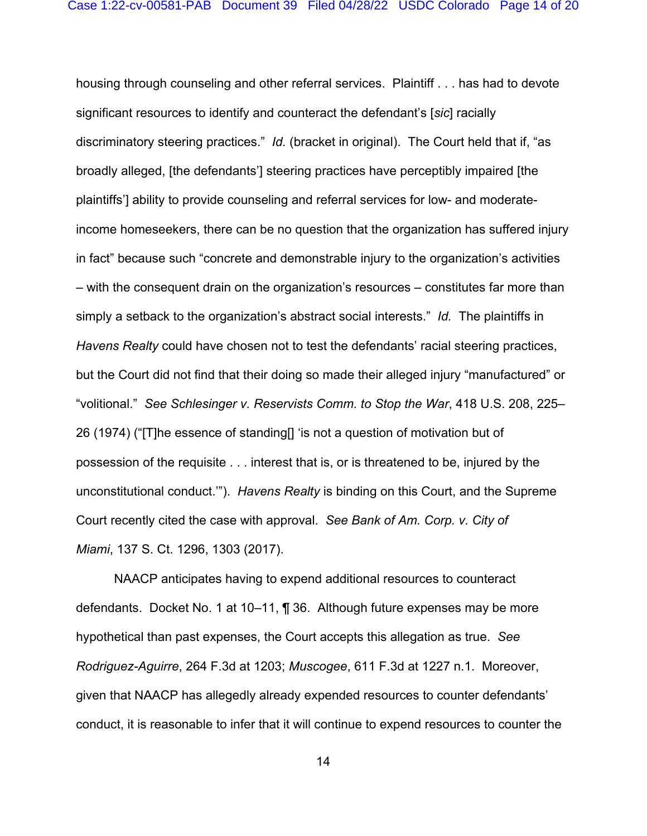housing through counseling and other referral services. Plaintiff . . . has had to devote significant resources to identify and counteract the defendant's [*sic*] racially discriminatory steering practices." *Id.* (bracket in original). The Court held that if, "as broadly alleged, [the defendants'] steering practices have perceptibly impaired [the plaintiffs'] ability to provide counseling and referral services for low- and moderateincome homeseekers, there can be no question that the organization has suffered injury in fact" because such "concrete and demonstrable injury to the organization's activities – with the consequent drain on the organization's resources – constitutes far more than simply a setback to the organization's abstract social interests." *Id.* The plaintiffs in *Havens Realty* could have chosen not to test the defendants' racial steering practices, but the Court did not find that their doing so made their alleged injury "manufactured" or "volitional." *See Schlesinger v. Reservists Comm. to Stop the War*, 418 U.S. 208, 225– 26 (1974) ("[T]he essence of standing[] 'is not a question of motivation but of possession of the requisite . . . interest that is, or is threatened to be, injured by the unconstitutional conduct.'"). *Havens Realty* is binding on this Court, and the Supreme Court recently cited the case with approval. *See Bank of Am. Corp. v. City of Miami*, 137 S. Ct. 1296, 1303 (2017).

NAACP anticipates having to expend additional resources to counteract defendants. Docket No. 1 at 10–11, ¶ 36. Although future expenses may be more hypothetical than past expenses, the Court accepts this allegation as true. *See Rodriguez-Aguirre*, 264 F.3d at 1203; *Muscogee*, 611 F.3d at 1227 n.1. Moreover, given that NAACP has allegedly already expended resources to counter defendants' conduct, it is reasonable to infer that it will continue to expend resources to counter the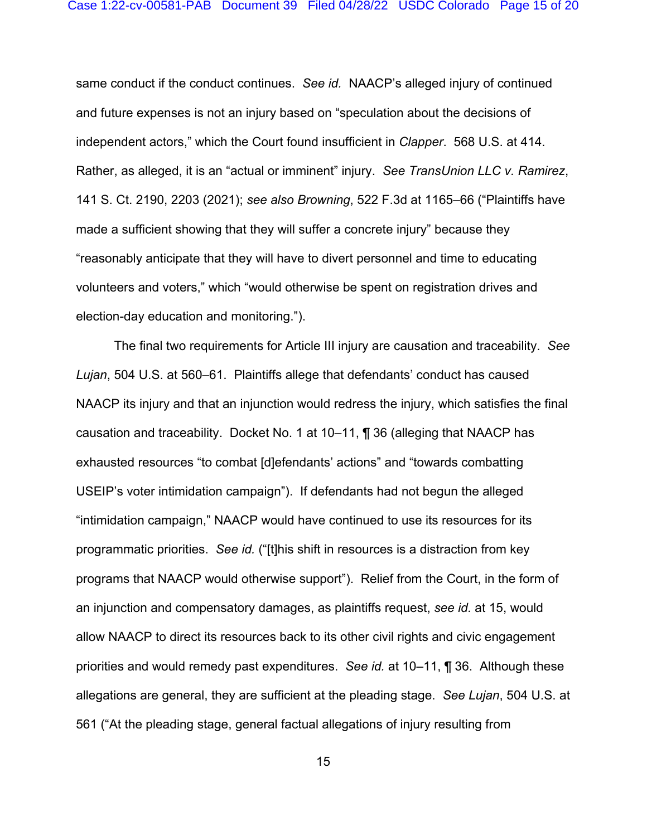same conduct if the conduct continues. *See id.* NAACP's alleged injury of continued and future expenses is not an injury based on "speculation about the decisions of independent actors," which the Court found insufficient in *Clapper*. 568 U.S. at 414. Rather, as alleged, it is an "actual or imminent" injury. *See TransUnion LLC v. Ramirez*, 141 S. Ct. 2190, 2203 (2021); *see also Browning*, 522 F.3d at 1165–66 ("Plaintiffs have made a sufficient showing that they will suffer a concrete injury" because they "reasonably anticipate that they will have to divert personnel and time to educating volunteers and voters," which "would otherwise be spent on registration drives and election-day education and monitoring.").

The final two requirements for Article III injury are causation and traceability. *See Lujan*, 504 U.S. at 560–61. Plaintiffs allege that defendants' conduct has caused NAACP its injury and that an injunction would redress the injury, which satisfies the final causation and traceability. Docket No. 1 at 10–11, ¶ 36 (alleging that NAACP has exhausted resources "to combat [d]efendants' actions" and "towards combatting USEIP's voter intimidation campaign"). If defendants had not begun the alleged "intimidation campaign," NAACP would have continued to use its resources for its programmatic priorities. *See id.* ("[t]his shift in resources is a distraction from key programs that NAACP would otherwise support"). Relief from the Court, in the form of an injunction and compensatory damages, as plaintiffs request, *see id.* at 15, would allow NAACP to direct its resources back to its other civil rights and civic engagement priorities and would remedy past expenditures. *See id.* at 10–11, ¶ 36. Although these allegations are general, they are sufficient at the pleading stage. *See Lujan*, 504 U.S. at 561 ("At the pleading stage, general factual allegations of injury resulting from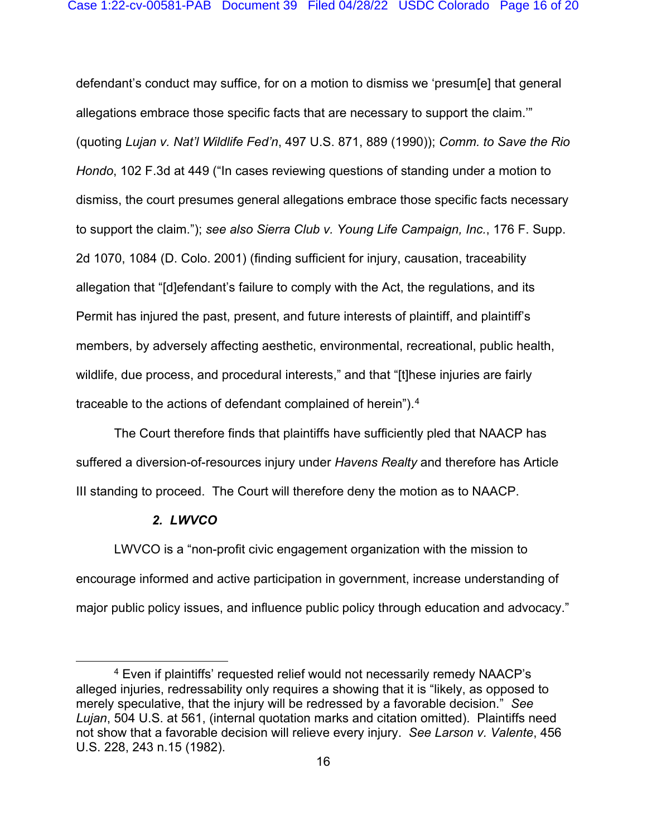defendant's conduct may suffice, for on a motion to dismiss we 'presum[e] that general allegations embrace those specific facts that are necessary to support the claim.'" (quoting *Lujan v. Nat'l Wildlife Fed'n*, 497 U.S. 871, 889 (1990)); *Comm. to Save the Rio Hondo*, 102 F.3d at 449 ("In cases reviewing questions of standing under a motion to dismiss, the court presumes general allegations embrace those specific facts necessary to support the claim."); *see also Sierra Club v. Young Life Campaign, Inc.*, 176 F. Supp. 2d 1070, 1084 (D. Colo. 2001) (finding sufficient for injury, causation, traceability allegation that "[d]efendant's failure to comply with the Act, the regulations, and its Permit has injured the past, present, and future interests of plaintiff, and plaintiff's members, by adversely affecting aesthetic, environmental, recreational, public health, wildlife, due process, and procedural interests," and that "[t]hese injuries are fairly traceable to the actions of defendant complained of herein").[4](#page-15-0)

The Court therefore finds that plaintiffs have sufficiently pled that NAACP has suffered a diversion-of-resources injury under *Havens Realty* and therefore has Article III standing to proceed. The Court will therefore deny the motion as to NAACP.

#### *2. LWVCO*

LWVCO is a "non-profit civic engagement organization with the mission to encourage informed and active participation in government, increase understanding of major public policy issues, and influence public policy through education and advocacy."

<span id="page-15-0"></span><sup>4</sup> Even if plaintiffs' requested relief would not necessarily remedy NAACP's alleged injuries, redressability only requires a showing that it is "likely, as opposed to merely speculative, that the injury will be redressed by a favorable decision." *See Lujan*, 504 U.S. at 561, (internal quotation marks and citation omitted). Plaintiffs need not show that a favorable decision will relieve every injury. *See Larson v. Valente*, 456 U.S. 228, 243 n.15 (1982).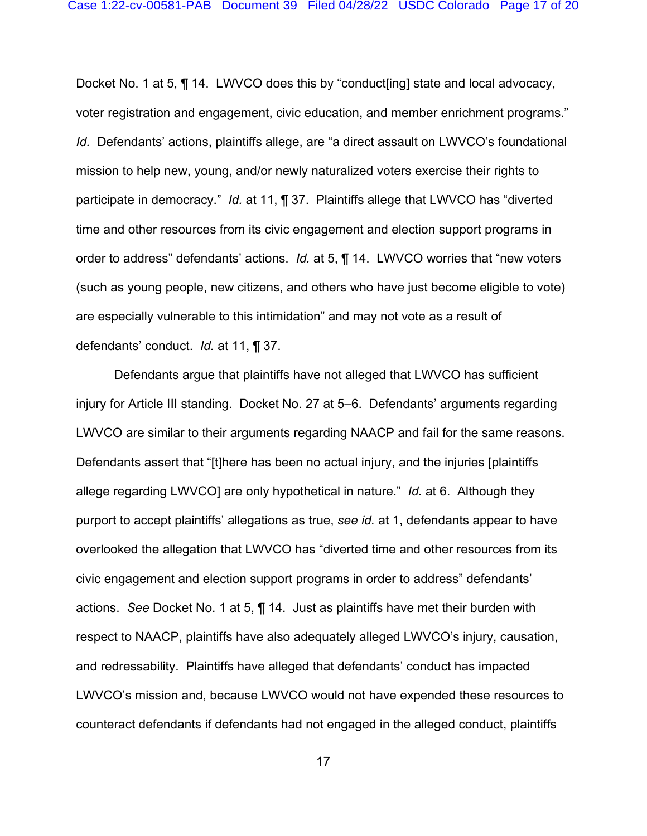Docket No. 1 at 5, ¶ 14. LWVCO does this by "conduct[ing] state and local advocacy, voter registration and engagement, civic education, and member enrichment programs." *Id.* Defendants' actions, plaintiffs allege, are "a direct assault on LWVCO's foundational mission to help new, young, and/or newly naturalized voters exercise their rights to participate in democracy." *Id.* at 11, ¶ 37. Plaintiffs allege that LWVCO has "diverted time and other resources from its civic engagement and election support programs in order to address" defendants' actions. *Id.* at 5, ¶ 14. LWVCO worries that "new voters (such as young people, new citizens, and others who have just become eligible to vote) are especially vulnerable to this intimidation" and may not vote as a result of defendants' conduct. *Id.* at 11, ¶ 37.

Defendants argue that plaintiffs have not alleged that LWVCO has sufficient injury for Article III standing. Docket No. 27 at 5–6. Defendants' arguments regarding LWVCO are similar to their arguments regarding NAACP and fail for the same reasons. Defendants assert that "[t]here has been no actual injury, and the injuries [plaintiffs allege regarding LWVCO] are only hypothetical in nature." *Id.* at 6. Although they purport to accept plaintiffs' allegations as true, *see id.* at 1, defendants appear to have overlooked the allegation that LWVCO has "diverted time and other resources from its civic engagement and election support programs in order to address" defendants' actions. *See* Docket No. 1 at 5, ¶ 14. Just as plaintiffs have met their burden with respect to NAACP, plaintiffs have also adequately alleged LWVCO's injury, causation, and redressability. Plaintiffs have alleged that defendants' conduct has impacted LWVCO's mission and, because LWVCO would not have expended these resources to counteract defendants if defendants had not engaged in the alleged conduct, plaintiffs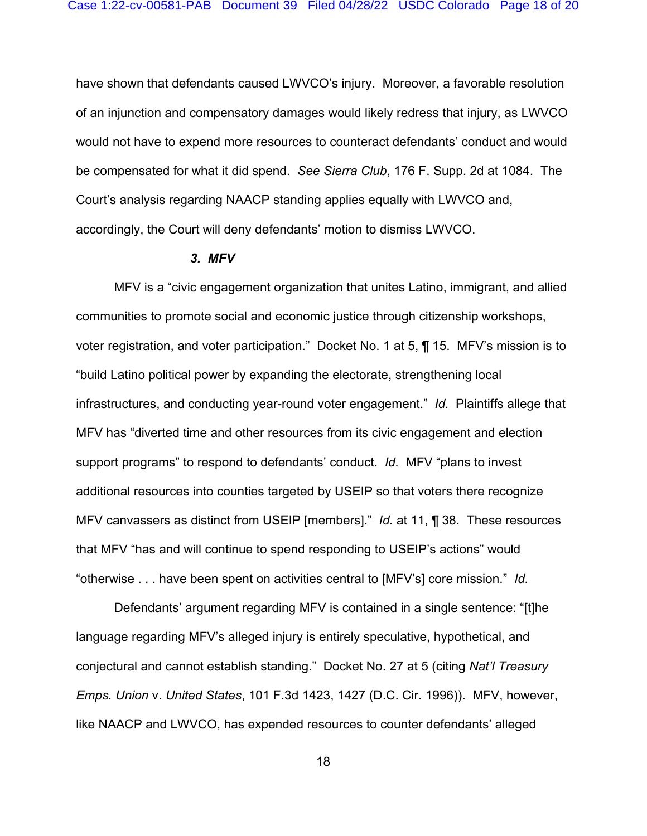have shown that defendants caused LWVCO's injury. Moreover, a favorable resolution of an injunction and compensatory damages would likely redress that injury, as LWVCO would not have to expend more resources to counteract defendants' conduct and would be compensated for what it did spend. *See Sierra Club*, 176 F. Supp. 2d at 1084. The Court's analysis regarding NAACP standing applies equally with LWVCO and, accordingly, the Court will deny defendants' motion to dismiss LWVCO.

## *3. MFV*

MFV is a "civic engagement organization that unites Latino, immigrant, and allied communities to promote social and economic justice through citizenship workshops, voter registration, and voter participation." Docket No. 1 at 5, ¶ 15. MFV's mission is to "build Latino political power by expanding the electorate, strengthening local infrastructures, and conducting year-round voter engagement." *Id.* Plaintiffs allege that MFV has "diverted time and other resources from its civic engagement and election support programs" to respond to defendants' conduct. *Id.* MFV "plans to invest additional resources into counties targeted by USEIP so that voters there recognize MFV canvassers as distinct from USEIP [members]." *Id.* at 11, ¶ 38. These resources that MFV "has and will continue to spend responding to USEIP's actions" would "otherwise . . . have been spent on activities central to [MFV's] core mission." *Id.*

Defendants' argument regarding MFV is contained in a single sentence: "[t]he language regarding MFV's alleged injury is entirely speculative, hypothetical, and conjectural and cannot establish standing." Docket No. 27 at 5 (citing *Nat'l Treasury Emps. Union* v. *United States*, 101 F.3d 1423, 1427 (D.C. Cir. 1996)). MFV, however, like NAACP and LWVCO, has expended resources to counter defendants' alleged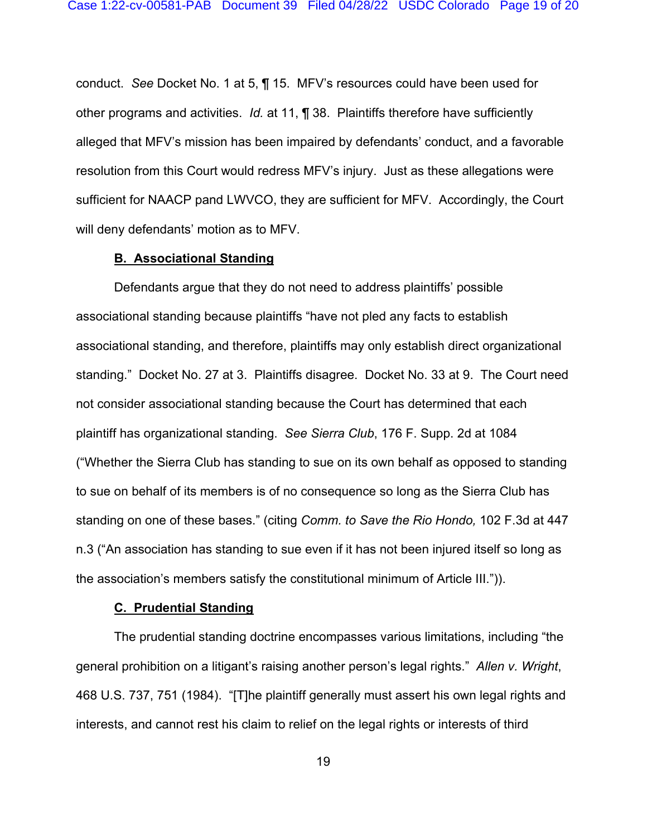conduct. *See* Docket No. 1 at 5, ¶ 15. MFV's resources could have been used for other programs and activities. *Id.* at 11, ¶ 38. Plaintiffs therefore have sufficiently alleged that MFV's mission has been impaired by defendants' conduct, and a favorable resolution from this Court would redress MFV's injury. Just as these allegations were sufficient for NAACP pand LWVCO, they are sufficient for MFV. Accordingly, the Court will deny defendants' motion as to MFV.

### **B. Associational Standing**

Defendants argue that they do not need to address plaintiffs' possible associational standing because plaintiffs "have not pled any facts to establish associational standing, and therefore, plaintiffs may only establish direct organizational standing." Docket No. 27 at 3. Plaintiffs disagree. Docket No. 33 at 9. The Court need not consider associational standing because the Court has determined that each plaintiff has organizational standing. *See Sierra Club*, 176 F. Supp. 2d at 1084 ("Whether the Sierra Club has standing to sue on its own behalf as opposed to standing to sue on behalf of its members is of no consequence so long as the Sierra Club has standing on one of these bases." (citing *Comm. to Save the Rio Hondo,* 102 F.3d at 447 n.3 ("An association has standing to sue even if it has not been injured itself so long as the association's members satisfy the constitutional minimum of Article III.")).

#### **C. Prudential Standing**

The prudential standing doctrine encompasses various limitations, including "the general prohibition on a litigant's raising another person's legal rights." *Allen v. Wright*, 468 U.S. 737, 751 (1984). "[T]he plaintiff generally must assert his own legal rights and interests, and cannot rest his claim to relief on the legal rights or interests of third